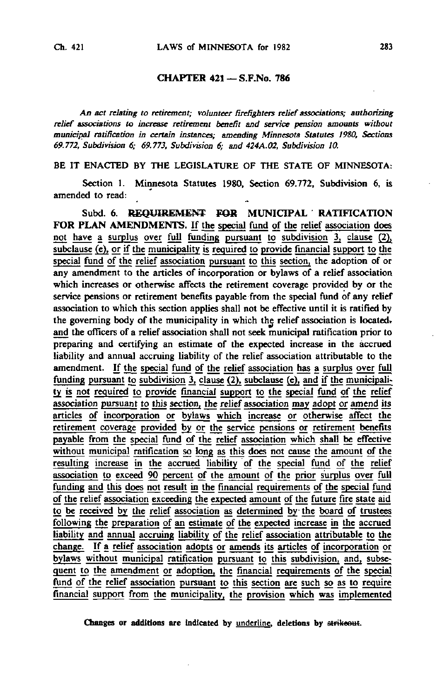## CHAPTER 421 — S.F.No. 786

An act relating to retirement; volunteer firefighters relief associations; authorizing relief associations to increase retirement benefit and service pension amounts without municipal ratification in certain instances; amending Minnesota Statutes 1980, Sections 69.772, Subdivision 6; 69,773, Subdivision 6; and 424A.02, Subdivision 10.

BE IT ENACTED BY THE LEGISLATURE OF THE STATE OF MINNESOTA:

Section 1. Minnesota Statutes 1980, Section 69.772, Subdivision 6, is amended to read:

Subd. 6. REQUIREMENT FOR MUNICIPAL RATIFICATION FOR PLAN AMENDMENTS. If the special fund of the relief association does not have a surplus over full funding pursuant to subdivision  $3$ , clause  $(2)$ , subclause (e), or if the municipality is required to provide financial support to the special fund of the relief association pursuant to this section, the adoption of or any amendment to the articles of incorporation or bylaws of a relief association which increases or otherwise affects the retirement coverage provided by or the service pensions or retirement benefits payable from the special fund of any relief association to which this section applies shall not be effective until it is ratified by the governing body of the municipality in which the relief association is locatedand the officers of a relief association shall not seek municipal ratification prior to preparing and certifying an estimate of the expected increase in the accrued liability and annual accruing liability of the relief association attributable to the amendment. If the special fund of the relief association has a surplus over full funding pursuant to subdivision 3, clause (2), subclause (e), and if the municipality is not required to provide financial support to the special fund of the relief association pursuant to this section, the relief association may adopt or amend its articles of incorporation or bylaws which increase or otherwise affect the retirement coverage provided by or the service pensions or retirement benefits payable from the special fund of the relief association which shall be effective without municipal ratification so long as this does not cause the amount of the resulting increase in the accrued liability of the special fund of the relief association to exceed 90 percent of the amount of the prior surplus over full funding and this does not result in the financial requirements of the special fund of the relief association exceeding the expected amount of the future fire state aid to be received by the relief association as determined by- the board of trustees following the preparation of an estimate of the expected increase in the accrued liability and annual accruing liability of the relief association attributable to the change. If a relief association adopts or amends its articles of incorporation or bylaws without municipal ratification pursuant to this subdivision, and, subsequent to the amendment or adoption, the financial requirements of the special fund of the relief association pursuant to this section are such so as to require financial support from the municipality, the provision which was implemented

Changes or additions are indicated by underline, deletions by strikeout.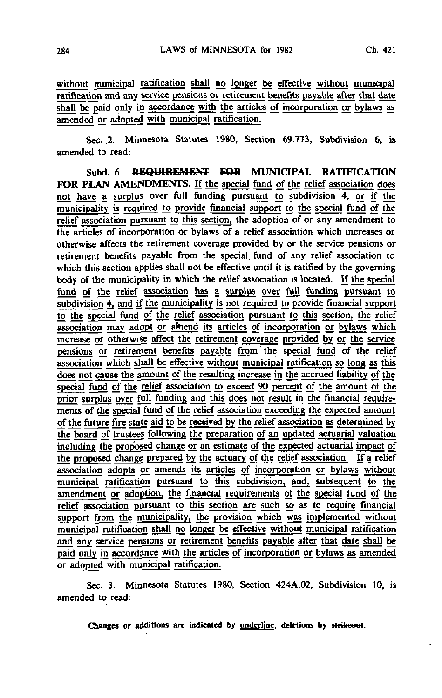without municipal ratification shall no longer be effective without municipal ratification and any service pensions or retirement benefits payable after that date shall be paid only in accordance with the articles of incorporation or bylaws as amended or adopted with municipal ratification.

Sec. 2. Minnesota Statutes 1980, Section 69.773, Subdivision 6, is amended to read:

Subd. 6. REQUIREMENT FOR MUNICIPAL RATIFICATION FOR PLAN AMENDMENTS. If the special fund of the relief association does not have a surplus over full funding pursuant to subdivision 4, or if the municipality is required to provide financial support to the special fund of the relief association pursuant to this section, the adoption of or any amendment to the articles of incorporation or bylaws of a relief association which increases or otherwise affects the retirement coverage provided by or the service pensions or retirement benefits payable from the special, fund of any relief association to which this section applies shall not be effective until it is ratified by the governing body of the municipality in which the relief association is located. If the special fund of the relief association has a surplus over full funding pursuant to subdivision 4, and if the municipality is not required to provide financial support to the special fund of the relief association pursuant to this section, the relief association may adopt or amend its articles of incorporation or bylaws which increase or otherwise affect the retirement coverage provided by or the service pensions or retirement benefits payable from the special fund of the relief association which shall be effective without municipal ratification so long as this does not cause the amount of the resulting increase in the accrued liability of the special fund of the relief association to exceed 90 percent of the amount of the prior surplus over full funding and this does not result in the financial requirements of the special fund of the relief association exceeding the expected amount of the future fire state aid to be received by the relief association as determined by the board of trustees following the preparation of an undated actuarial valuation including the proposed change or an estimate of the expected actuarial impact of the proposed change prepared by the actuary of the relief association. If a relief association adopts or amends its articles of incorporation or bylaws without municipal ratification pursuant to this subdivision, and, subsequent to the amendment or adoption, the financial requirements of the special fund of the relief association pursuant to this section are such so as to require financial support from the municipality, the provision which was implemented without municipal ratification shall no longer be effective without municipal ratification and any service pensions or retirement benefits payable after that date shall be paid only in accordance with the articles of incorporation or bylaws as amended or adopted with municipal ratification.

Sec. 3. Minnesota Statutes 1980, Section 424A.02, Subdivision 10, is amended to read:

Changes or additions are Indicated by underline, deletions by strikeout.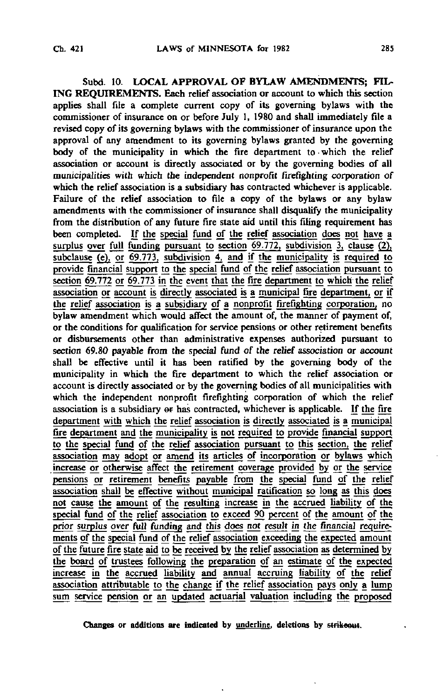Subd. 10. LOCAL APPROVAL OF BYLAW AMENDMENTS: FIL-ING REQUIREMENTS. Each relief association or account to which this section applies shall file a complete current copy of its governing bylaws with the commissioner of insurance on or before July 1, 1980 and shall immediately file a revised copy of its governing bylaws with the commissioner of insurance upon the approval of any amendment to its governing bylaws granted by the governing body of the municipality in which the fire department to which the relief association or account is directly associated or by the governing bodies of all municipalities with which the independent nonprofit firefighting corporation of which the relief association is a subsidiary has contracted whichever is applicable. Failure of the relief association to file a copy of the bylaws or any bylaw amendments with the commissioner of insurance shall disqualify the municipality from the distribution of any future fire state aid until this filing requirement has been completed. If the special fund of the relief association does not have a surplus over full funding pursuant to section  $69.772$ , subdivision 3, clause (2), subclause  $(e)$ , or  $69.773$ , subdivision  $4$ , and if the municipality is required to provide financial support to the special fund of the relief association pursuant to section  $69.772$  or  $69.773$  in the event that the fire department to which the relief association or account is directly associated is a municipal fire department, or if the relief association is a subsidiary of a nonprofit firefighting corporation, no bylaw amendment which would affect the amount of, the manner of payment of, or the conditions for qualification for service pensions or other retirement benefits or disbursements other than administrative expenses authorized pursuant to section 69.80 payable from the special fund of the relief association or account shall be effective until it has been ratified by the governing body of the municipality in which the fire department to which the relief association or account is directly associated or by the governing bodies of all municipalities with which the independent nonprofit firefighting corporation of which the relief association is a subsidiary or has contracted, whichever is applicable. If the fire department with which the relief association is directly associated is a municipal fire department and the municipality is not required to provide financial support to the special fund of the relief association pursuant to this section, the relief association may adopt or amend its articles of incorporation or bylaws which increase or otherwise affect the retirement coverage provided by or the service pensions or retirement benefits payable from the special fund of the relief association shall be effective without municipal ratification so long as this does not cause the amount of the resulting increase in the accrued liability of the special fund of the relief association to exceed 90 percent of the amount of the prior surplus over full funding and this does not result in the financial requirements of the special fund of the relief association exceeding the expected amount of the future fire state aid to be received by the relief association as determined by the board of trustees following the preparation of an estimate of the expected increase in the accrued liability and annual accruing liability of the relief association attributable to the change if the relief association pays only a lump sum service pension or an updated actuarial valuation including the proposed

Changes or additions are indicated by underline, deletions by strikeout.